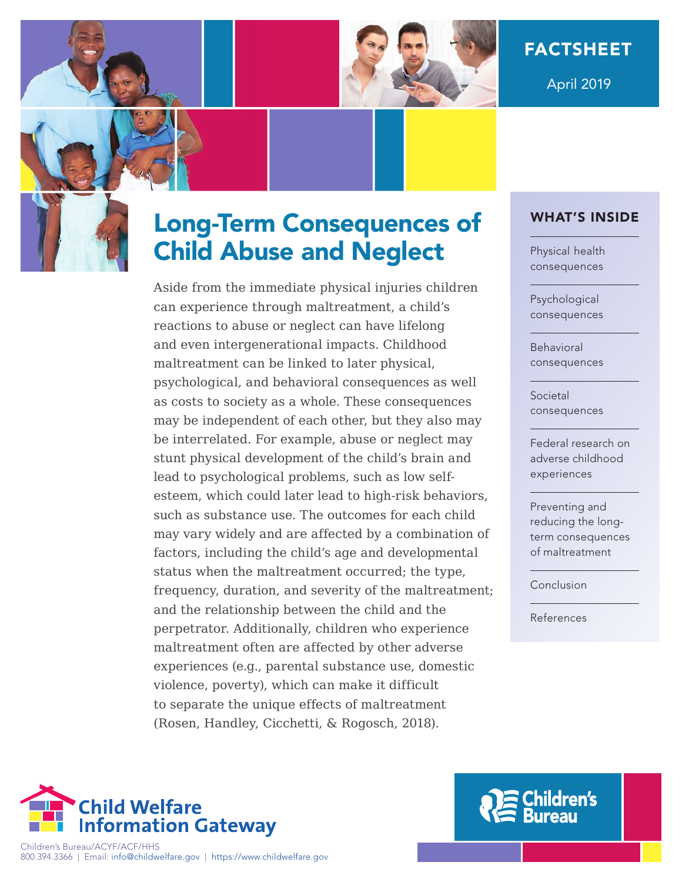

April 2019

# Long-Term Consequences of Child Abuse and Neglect

Aside from the immediate physical injuries children can experience through maltreatment, a child's reactions to abuse or neglect can have lifelong and even intergenerational impacts. Childhood maltreatment can be linked to later physical, psychological, and behavioral consequences as well as costs to society as a whole. These consequences may be independent of each other, but they also may be interrelated. For example, abuse or neglect may stunt physical development of the child's brain and lead to psychological problems, such as low selfesteem, which could later lead to high-risk behaviors, such as substance use. The outcomes for each child may vary widely and are affected by a combination of factors, including the child's age and developmental status when the maltreatment occurred; the type, frequency, duration, and severity of the maltreatment; and the relationship between the child and the perpetrator. Additionally, children who experience maltreatment often are affected by other adverse experiences (e.g., parental substance use, domestic violence, poverty), which can make it difficult to separate the unique effects of maltreatment (Rosen, Handley, Cicchetti, & Rogosch, 2018).

### WHAT'S INSIDE

[Physical health](#page-1-0) consequences

Psychological [consequences](#page-2-0)

Behavioral [consequences](#page-4-0)

Societal [consequences](#page-4-0)

[Federal research on](#page-4-0)  adverse childhood experiences

Preventing and [reducing the long](#page-5-0)term consequences of maltreatment

[Conclusion](#page-6-0)

[References](#page-7-0)



Children's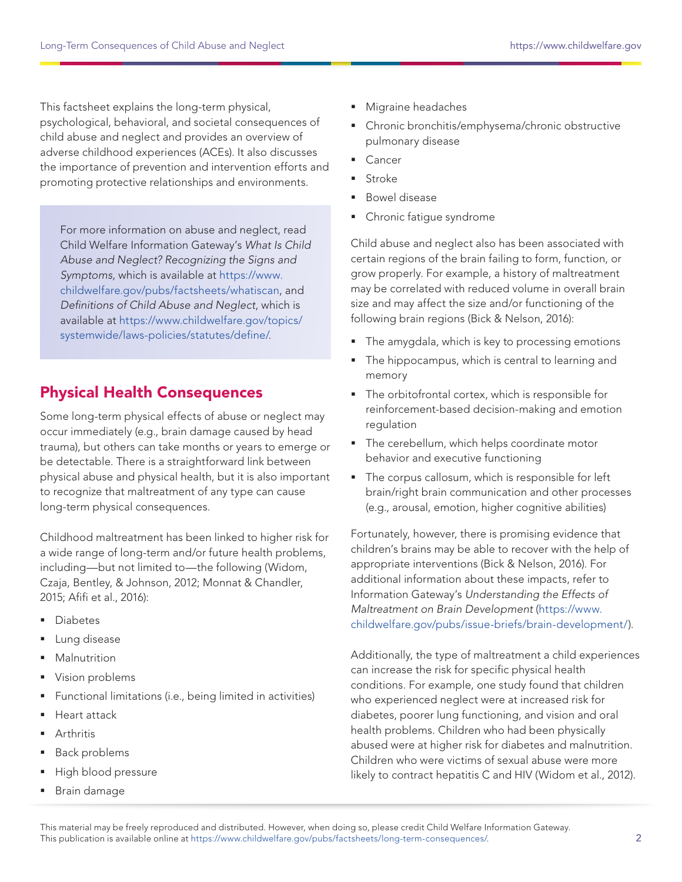<span id="page-1-0"></span>This factsheet explains the long-term physical, psychological, behavioral, and societal consequences of child abuse and neglect and provides an overview of adverse childhood experiences (ACEs). It also discusses the importance of prevention and intervention efforts and promoting protective relationships and environments.

For more information on abuse and neglect, read Child Welfare Information Gateway's What Is Child Abuse and Neglect? Recognizing the Signs and Symptoms, which is available at [https://www.](https://www.childwelfare.gov/pubs/factsheets/whatiscan) [childwelfare.gov/pubs/factsheets/whatiscan,](https://www.childwelfare.gov/pubs/factsheets/whatiscan) and Definitions of Child Abuse and Neglect, which is available at [https://www.childwelfare.gov/topics/](https://www.childwelfare.gov/topics/systemwide/laws-policies/statutes/define/) [systemwide/laws-policies/statutes/define/](https://www.childwelfare.gov/topics/systemwide/laws-policies/statutes/define/).

# Physical Health Consequences

Some long-term physical effects of abuse or neglect may occur immediately (e.g., brain damage caused by head trauma), but others can take months or years to emerge or be detectable. There is a straightforward link between physical abuse and physical health, but it is also important to recognize that maltreatment of any type can cause long-term physical consequences.

Childhood maltreatment has been linked to higher risk for a wide range of long-term and/or future health problems, including—but not limited to—the following (Widom, Czaja, Bentley, & Johnson, 2012; Monnat & Chandler, 2015; Afifi et al., 2016):

- Diabetes
- Lung disease
- Malnutrition
- Vision problems
- Functional limitations (i.e., being limited in activities)
- Heart attack
- Arthritis
- Back problems
- High blood pressure
- Brain damage
- Migraine headaches
- Chronic bronchitis/emphysema/chronic obstructive pulmonary disease
- **Cancer**
- Stroke
- Bowel disease
- Chronic fatique syndrome

Child abuse and neglect also has been associated with certain regions of the brain failing to form, function, or grow properly. For example, a history of maltreatment may be correlated with reduced volume in overall brain size and may affect the size and/or functioning of the following brain regions (Bick & Nelson, 2016):

- The amygdala, which is key to processing emotions
- The hippocampus, which is central to learning and memory
- The orbitofrontal cortex, which is responsible for reinforcement-based decision-making and emotion regulation
- The cerebellum, which helps coordinate motor behavior and executive functioning
- The corpus callosum, which is responsible for left brain/right brain communication and other processes (e.g., arousal, emotion, higher cognitive abilities)

Fortunately, however, there is promising evidence that children's brains may be able to recover with the help of appropriate interventions (Bick & Nelson, 2016). For additional information about these impacts, refer to Information Gateway's Understanding the Effects of Maltreatment on Brain Development ([https://www.](https://www.childwelfare.gov/pubs/issue-briefs/brain-development/) [childwelfare.gov/pubs/issue-briefs/brain-development/](https://www.childwelfare.gov/pubs/issue-briefs/brain-development/)).

Additionally, the type of maltreatment a child experiences can increase the risk for specific physical health conditions. For example, one study found that children who experienced neglect were at increased risk for diabetes, poorer lung functioning, and vision and oral health problems. Children who had been physically abused were at higher risk for diabetes and malnutrition. Children who were victims of sexual abuse were more likely to contract hepatitis C and HIV (Widom et al., 2012).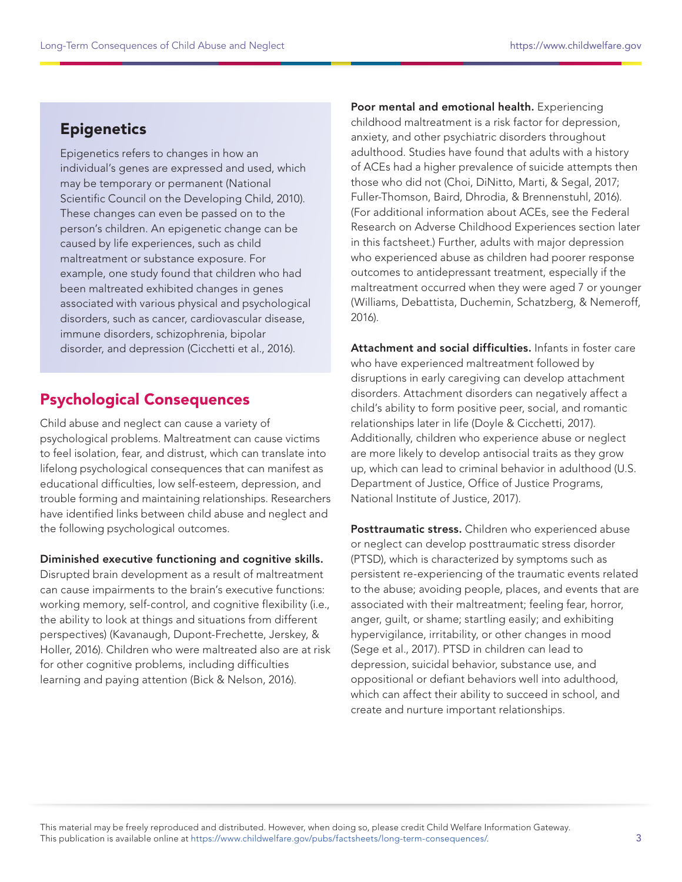# <span id="page-2-0"></span>**Epigenetics**

Epigenetics refers to changes in how an individual's genes are expressed and used, which may be temporary or permanent (National Scientific Council on the Developing Child, 2010). These changes can even be passed on to the person's children. An epigenetic change can be caused by life experiences, such as child maltreatment or substance exposure. For example, one study found that children who had been maltreated exhibited changes in genes associated with various physical and psychological disorders, such as cancer, cardiovascular disease, immune disorders, schizophrenia, bipolar disorder, and depression (Cicchetti et al., 2016).

# Psychological Consequences

Child abuse and neglect can cause a variety of psychological problems. Maltreatment can cause victims to feel isolation, fear, and distrust, which can translate into lifelong psychological consequences that can manifest as educational difficulties, low self-esteem, depression, and trouble forming and maintaining relationships. Researchers have identified links between child abuse and neglect and the following psychological outcomes.

#### Diminished executive functioning and cognitive skills.

Disrupted brain development as a result of maltreatment can cause impairments to the brain's executive functions: working memory, self-control, and cognitive flexibility (i.e., the ability to look at things and situations from different perspectives) (Kavanaugh, Dupont-Frechette, Jerskey, & Holler, 2016). Children who were maltreated also are at risk for other cognitive problems, including difficulties learning and paying attention (Bick & Nelson, 2016).

Poor mental and emotional health. Experiencing childhood maltreatment is a risk factor for depression, anxiety, and other psychiatric disorders throughout adulthood. Studies have found that adults with a history of ACEs had a higher prevalence of suicide attempts then those who did not (Choi, DiNitto, Marti, & Segal, 2017; Fuller-Thomson, Baird, Dhrodia, & Brennenstuhl, 2016). (For additional information about ACEs, see the Federal Research on Adverse Childhood Experiences section later in this factsheet.) Further, adults with major depression who experienced abuse as children had poorer response outcomes to antidepressant treatment, especially if the maltreatment occurred when they were aged 7 or younger (Williams, Debattista, Duchemin, Schatzberg, & Nemeroff, 2016).

Attachment and social difficulties. Infants in foster care who have experienced maltreatment followed by disruptions in early caregiving can develop attachment disorders. Attachment disorders can negatively affect a child's ability to form positive peer, social, and romantic relationships later in life (Doyle & Cicchetti, 2017). Additionally, children who experience abuse or neglect are more likely to develop antisocial traits as they grow up, which can lead to criminal behavior in adulthood (U.S. Department of Justice, Office of Justice Programs, National Institute of Justice, 2017).

Posttraumatic stress. Children who experienced abuse or neglect can develop posttraumatic stress disorder (PTSD), which is characterized by symptoms such as persistent re-experiencing of the traumatic events related to the abuse; avoiding people, places, and events that are associated with their maltreatment; feeling fear, horror, anger, guilt, or shame; startling easily; and exhibiting hypervigilance, irritability, or other changes in mood (Sege et al., 2017). PTSD in children can lead to depression, suicidal behavior, substance use, and oppositional or defiant behaviors well into adulthood, which can affect their ability to succeed in school, and create and nurture important relationships.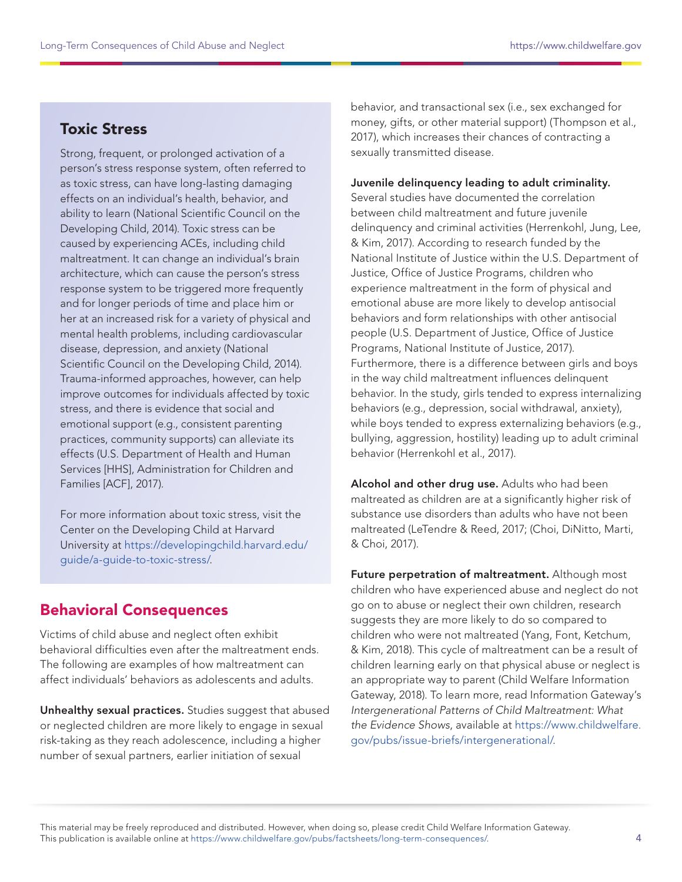# Toxic Stress

Strong, frequent, or prolonged activation of a person's stress response system, often referred to as toxic stress, can have long-lasting damaging effects on an individual's health, behavior, and ability to learn (National Scientific Council on the Developing Child, 2014). Toxic stress can be caused by experiencing ACEs, including child maltreatment. It can change an individual's brain architecture, which can cause the person's stress response system to be triggered more frequently and for longer periods of time and place him or her at an increased risk for a variety of physical and mental health problems, including cardiovascular disease, depression, and anxiety (National Scientific Council on the Developing Child, 2014). Trauma-informed approaches, however, can help improve outcomes for individuals affected by toxic stress, and there is evidence that social and emotional support (e.g., consistent parenting practices, community supports) can alleviate its effects (U.S. Department of Health and Human Services [HHS], Administration for Children and Families [ACF], 2017).

For more information about toxic stress, visit the Center on the Developing Child at Harvard University at [https://developingchild.harvard.edu/](https://developingchild.harvard.edu/guide/a-guide-to-toxic-stress/) [guide/a-guide-to-toxic-stress/](https://developingchild.harvard.edu/guide/a-guide-to-toxic-stress/).

# Behavioral Consequences

Victims of child abuse and neglect often exhibit behavioral difficulties even after the maltreatment ends. The following are examples of how maltreatment can affect individuals' behaviors as adolescents and adults.

Unhealthy sexual practices. Studies suggest that abused or neglected children are more likely to engage in sexual risk-taking as they reach adolescence, including a higher number of sexual partners, earlier initiation of sexual

behavior, and transactional sex (i.e., sex exchanged for money, gifts, or other material support) (Thompson et al., 2017), which increases their chances of contracting a sexually transmitted disease.

#### Juvenile delinquency leading to adult criminality.

Several studies have documented the correlation between child maltreatment and future juvenile delinquency and criminal activities (Herrenkohl, Jung, Lee, & Kim, 2017). According to research funded by the National Institute of Justice within the U.S. Department of Justice, Office of Justice Programs, children who experience maltreatment in the form of physical and emotional abuse are more likely to develop antisocial behaviors and form relationships with other antisocial people (U.S. Department of Justice, Office of Justice Programs, National Institute of Justice, 2017). Furthermore, there is a difference between girls and boys in the way child maltreatment influences delinquent behavior. In the study, girls tended to express internalizing behaviors (e.g., depression, social withdrawal, anxiety), while boys tended to express externalizing behaviors (e.g., bullying, aggression, hostility) leading up to adult criminal behavior (Herrenkohl et al., 2017).

Alcohol and other drug use. Adults who had been maltreated as children are at a significantly higher risk of substance use disorders than adults who have not been maltreated (LeTendre & Reed, 2017; (Choi, DiNitto, Marti, & Choi, 2017).

Future perpetration of maltreatment. Although most children who have experienced abuse and neglect do not go on to abuse or neglect their own children, research suggests they are more likely to do so compared to children who were not maltreated (Yang, Font, Ketchum, & Kim, 2018). This cycle of maltreatment can be a result of children learning early on that physical abuse or neglect is an appropriate way to parent (Child Welfare Information Gateway, 2018). To learn more, read Information Gateway's Intergenerational Patterns of Child Maltreatment: What the Evidence Shows, available at [https://www.childwelfare.](https://www.childwelfare.gov/pubs/issue-briefs/intergenerational/) [gov/pubs/issue-briefs/intergenerational/](https://www.childwelfare.gov/pubs/issue-briefs/intergenerational/).

This material may be freely reproduced and distributed. However, when doing so, please credit Child Welfare Information Gateway. This publication is available online at https://www.childwelfare.gov/pubs/factsheets/long-term-consequences/.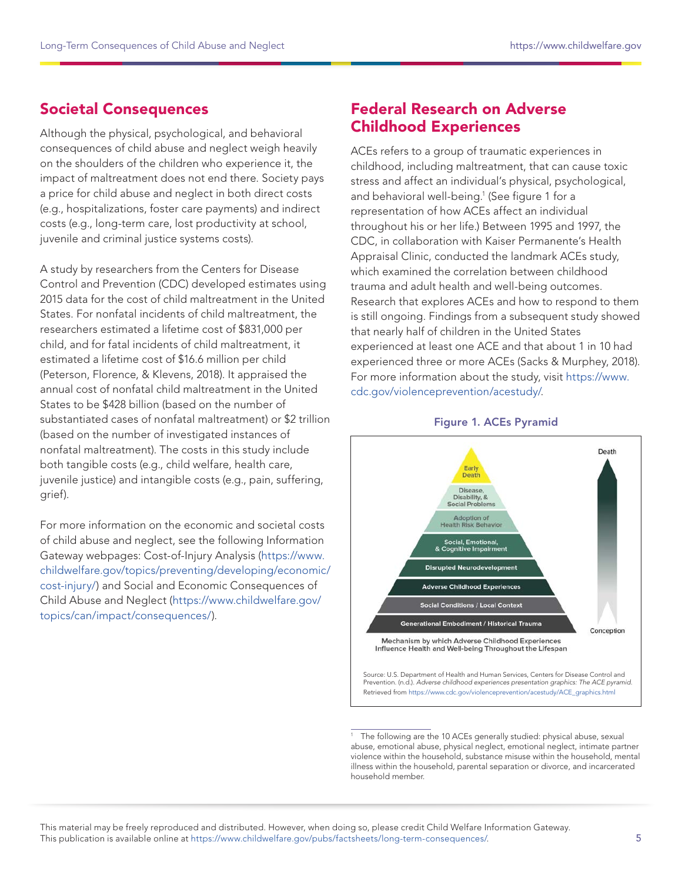# <span id="page-4-0"></span>Societal Consequences

Although the physical, psychological, and behavioral consequences of child abuse and neglect weigh heavily on the shoulders of the children who experience it, the impact of maltreatment does not end there. Society pays a price for child abuse and neglect in both direct costs (e.g., hospitalizations, foster care payments) and indirect costs (e.g., long-term care, lost productivity at school, juvenile and criminal justice systems costs).

A study by researchers from the Centers for Disease Control and Prevention (CDC) developed estimates using 2015 data for the cost of child maltreatment in the United States. For nonfatal incidents of child maltreatment, the researchers estimated a lifetime cost of \$831,000 per child, and for fatal incidents of child maltreatment, it estimated a lifetime cost of \$16.6 million per child (Peterson, Florence, & Klevens, 2018). It appraised the annual cost of nonfatal child maltreatment in the United States to be \$428 billion (based on the number of substantiated cases of nonfatal maltreatment) or \$2 trillion (based on the number of investigated instances of nonfatal maltreatment). The costs in this study include both tangible costs (e.g., child welfare, health care, juvenile justice) and intangible costs (e.g., pain, suffering, grief).

For more information on the economic and societal costs of child abuse and neglect, see the following Information Gateway webpages: Cost-of-Injury Analysis ([https://www.](https://www.childwelfare.gov/topics/preventing/developing/economic/cost-injury/) [childwelfare.gov/topics/preventing/developing/economic/](https://www.childwelfare.gov/topics/preventing/developing/economic/cost-injury/) [cost-injury/](https://www.childwelfare.gov/topics/preventing/developing/economic/cost-injury/)) and Social and Economic Consequences of Child Abuse and Neglect ([https://www.childwelfare.gov/](https://www.childwelfare.gov/topics/can/impact/consequences/) [topics/can/impact/consequences/](https://www.childwelfare.gov/topics/can/impact/consequences/)).

## Federal Research on Adverse Childhood Experiences

ACEs refers to a group of traumatic experiences in childhood, including maltreatment, that can cause toxic stress and affect an individual's physical, psychological, and behavioral well-being.<sup>1</sup> (See figure 1 for a representation of how ACEs affect an individual throughout his or her life.) Between 1995 and 1997, the CDC, in collaboration with Kaiser Permanente's Health Appraisal Clinic, conducted the landmark ACEs study, which examined the correlation between childhood trauma and adult health and well-being outcomes. Research that explores ACEs and how to respond to them is still ongoing. Findings from a subsequent study showed that nearly half of children in the United States experienced at least one ACE and that about 1 in 10 had experienced three or more ACEs (Sacks & Murphey, 2018). For more information about the study, visit [https://www.](https://www.cdc.gov/violenceprevention/acestudy/) [cdc.gov/violenceprevention/acestudy/.](https://www.cdc.gov/violenceprevention/acestudy/)





Prevention. (n.d.). Adverse childhood experiences presentation graphics: The ACE pyramid. Retrieved from [https://www.cdc.gov/violenceprevention/acestudy/ACE\\_graphics.html](https://www.cdc.gov/violenceprevention/acestudy/ACE_graphics.html)

The following are the 10 ACEs generally studied: physical abuse, sexual abuse, emotional abuse, physical neglect, emotional neglect, intimate partner violence within the household, substance misuse within the household, mental illness within the household, parental separation or divorce, and incarcerated household member.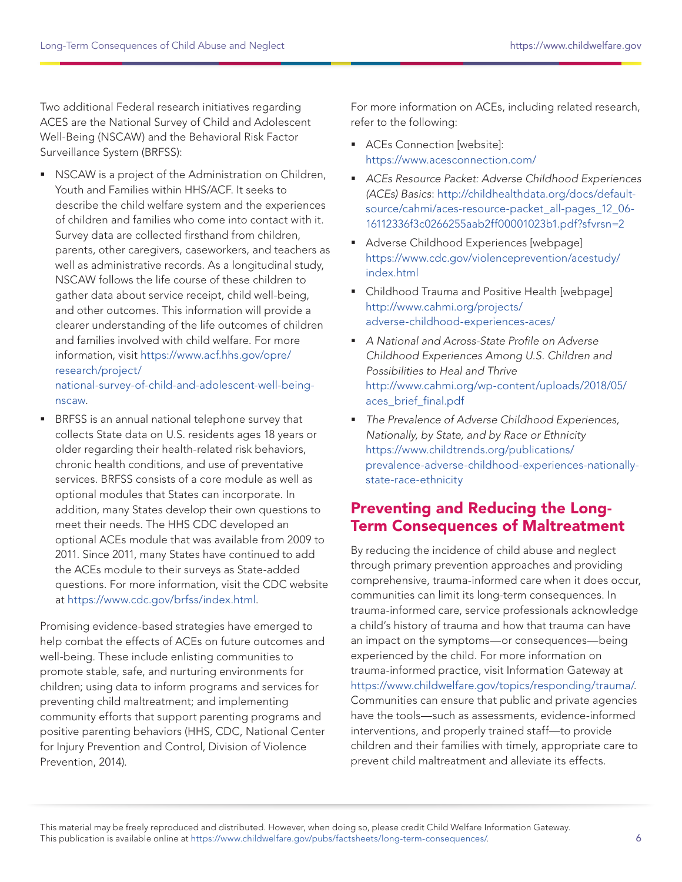<span id="page-5-0"></span>Two additional Federal research initiatives regarding ACES are the National Survey of Child and Adolescent Well-Being (NSCAW) and the Behavioral Risk Factor Surveillance System (BRFSS):

**NSCAW** is a project of the Administration on Children, Youth and Families within HHS/ACF. It seeks to describe the child welfare system and the experiences of children and families who come into contact with it. Survey data are collected firsthand from children, parents, other caregivers, caseworkers, and teachers as well as administrative records. As a longitudinal study, NSCAW follows the life course of these children to gather data about service receipt, child well-being, and other outcomes. This information will provide a clearer understanding of the life outcomes of children and families involved with child welfare. For more information, visit [https://www.acf.hhs.gov/opre/](https://www.acf.hhs.gov/opre/research/project/national-survey-of-child-and-adolescent-well-being-nscaw) [research/project/](https://www.acf.hhs.gov/opre/research/project/national-survey-of-child-and-adolescent-well-being-nscaw)

[national-survey-of-child-and-adolescent-well-being](https://www.acf.hhs.gov/opre/research/project/national-survey-of-child-and-adolescent-well-being-nscaw)[nscaw.](https://www.acf.hhs.gov/opre/research/project/national-survey-of-child-and-adolescent-well-being-nscaw)

 BRFSS is an annual national telephone survey that collects State data on U.S. residents ages 18 years or older regarding their health-related risk behaviors, chronic health conditions, and use of preventative services. BRFSS consists of a core module as well as optional modules that States can incorporate. In addition, many States develop their own questions to meet their needs. The HHS CDC developed an optional ACEs module that was available from 2009 to 2011. Since 2011, many States have continued to add the ACEs module to their surveys as State-added questions. For more information, visit the CDC website at [https://www.cdc.gov/brfss/index.html.](https://www.cdc.gov/brfss/index.html)

Promising evidence-based strategies have emerged to help combat the effects of ACEs on future outcomes and well-being. These include enlisting communities to promote stable, safe, and nurturing environments for children; using data to inform programs and services for preventing child maltreatment; and implementing community efforts that support parenting programs and positive parenting behaviors (HHS, CDC, National Center for Injury Prevention and Control, Division of Violence Prevention, 2014).

For more information on ACEs, including related research, refer to the following:

- **ACEs Connection [website]:** <https://www.acesconnection.com/>
- ACEs Resource Packet: Adverse Childhood Experiences (ACEs) Basics: [http://childhealthdata.org/docs/default](http://childhealthdata.org/docs/default-source/cahmi/aces-resource-packet_all-pages_12_06-16112336f3c0266255aab2ff00001023b1.pdf?sfvrsn=2)[source/cahmi/aces-resource-packet\\_all-pages\\_12\\_06-](http://childhealthdata.org/docs/default-source/cahmi/aces-resource-packet_all-pages_12_06-16112336f3c0266255aab2ff00001023b1.pdf?sfvrsn=2) [16112336f3c0266255aab2ff00001023b1.pdf?sfvrsn=2](http://childhealthdata.org/docs/default-source/cahmi/aces-resource-packet_all-pages_12_06-16112336f3c0266255aab2ff00001023b1.pdf?sfvrsn=2)
- **Adverse Childhood Experiences [webpage]** [https://www.cdc.gov/violenceprevention/acestudy/](https://www.cdc.gov/violenceprevention/acestudy/index.html) [index.html](https://www.cdc.gov/violenceprevention/acestudy/index.html)
- Childhood Trauma and Positive Health [webpage] [http://www.cahmi.org/projects/](http://www.cahmi.org/projects/adverse-childhood-experiences-aces/) [adverse-childhood-experiences-aces/](http://www.cahmi.org/projects/adverse-childhood-experiences-aces/)
- A National and Across-State Profile on Adverse Childhood Experiences Among U.S. Children and Possibilities to Heal and Thrive [http://www.cahmi.org/wp-content/uploads/2018/05/](http://www.cahmi.org/wp-content/uploads/2018/05/aces_brief_final.pdf) [aces\\_brief\\_final.pdf](http://www.cahmi.org/wp-content/uploads/2018/05/aces_brief_final.pdf)
- The Prevalence of Adverse Childhood Experiences, Nationally, by State, and by Race or Ethnicity [https://www.childtrends.org/publications/](https://www.childtrends.org/publications/prevalence-adverse-childhood-experiences-nationally-state-race-ethnicity) [prevalence-adverse-childhood-experiences-nationally](https://www.childtrends.org/publications/prevalence-adverse-childhood-experiences-nationally-state-race-ethnicity)[state-race-ethnicity](https://www.childtrends.org/publications/prevalence-adverse-childhood-experiences-nationally-state-race-ethnicity)

## Preventing and Reducing the Long-Term Consequences of Maltreatment

By reducing the incidence of child abuse and neglect through primary prevention approaches and providing comprehensive, trauma-informed care when it does occur, communities can limit its long-term consequences. In trauma-informed care, service professionals acknowledge a child's history of trauma and how that trauma can have an impact on the symptoms—or consequences—being experienced by the child. For more information on trauma-informed practice, visit Information Gateway at <https://www.childwelfare.gov/topics/responding/trauma/>. Communities can ensure that public and private agencies have the tools—such as assessments, evidence-informed interventions, and properly trained staff—to provide children and their families with timely, appropriate care to prevent child maltreatment and alleviate its effects.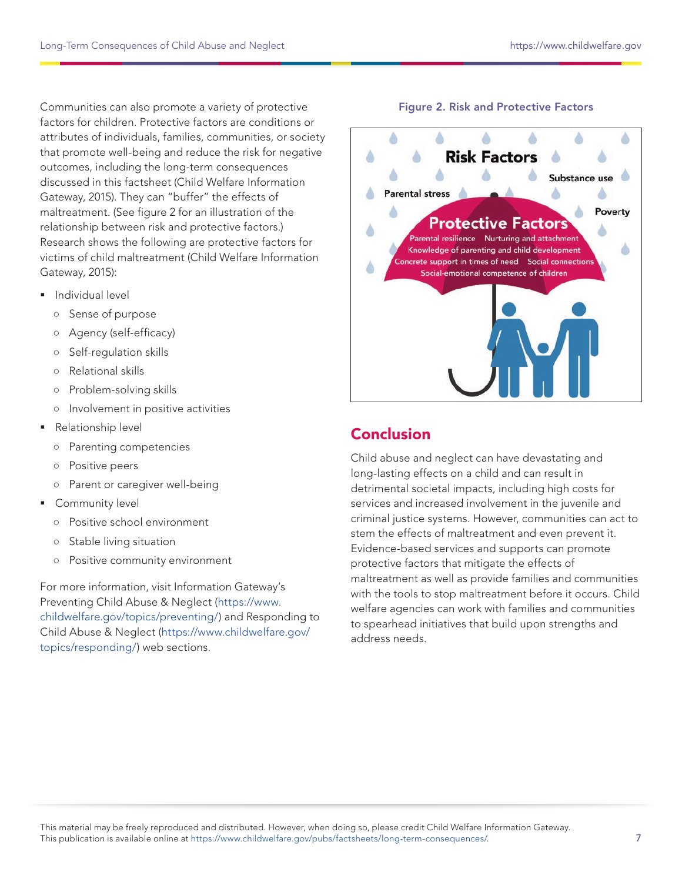<span id="page-6-0"></span>Communities can also promote a variety of protective factors for children. Protective factors are conditions or attributes of individuals, families, communities, or society that promote well-being and reduce the risk for negative outcomes, including the long-term consequences discussed in this factsheet (Child Welfare Information Gateway, 2015). They can "buffer" the effects of maltreatment. (See figure 2 for an illustration of the relationship between risk and protective factors.) Research shows the following are protective factors for victims of child maltreatment (Child Welfare Information Gateway, 2015):

- **Individual level** 
	- Sense of purpose
	- Agency (self-efficacy)
	- Self-regulation skills
	- Relational skills
	- Problem-solving skills
	- Involvement in positive activities
- **Relationship level** 
	- Parenting competencies
	- Positive peers
	- Parent or caregiver well-being
- **Community level** 
	- Positive school environment
	- Stable living situation
	- Positive community environment

For more information, visit Information Gateway's Preventing Child Abuse & Neglect ([https://www.](https://www.childwelfare.gov/topics/preventing/) [childwelfare.gov/topics/preventing/](https://www.childwelfare.gov/topics/preventing/)) and Responding to Child Abuse & Neglect ([https://www.childwelfare.gov/](https://www.childwelfare.gov/topics/responding/) [topics/responding/\)](https://www.childwelfare.gov/topics/responding/) web sections.

#### Figure 2. Risk and Protective Factors



### Conclusion

Child abuse and neglect can have devastating and long-lasting effects on a child and can result in detrimental societal impacts, including high costs for services and increased involvement in the juvenile and criminal justice systems. However, communities can act to stem the effects of maltreatment and even prevent it. Evidence-based services and supports can promote protective factors that mitigate the effects of maltreatment as well as provide families and communities with the tools to stop maltreatment before it occurs. Child welfare agencies can work with families and communities to spearhead initiatives that build upon strengths and address needs.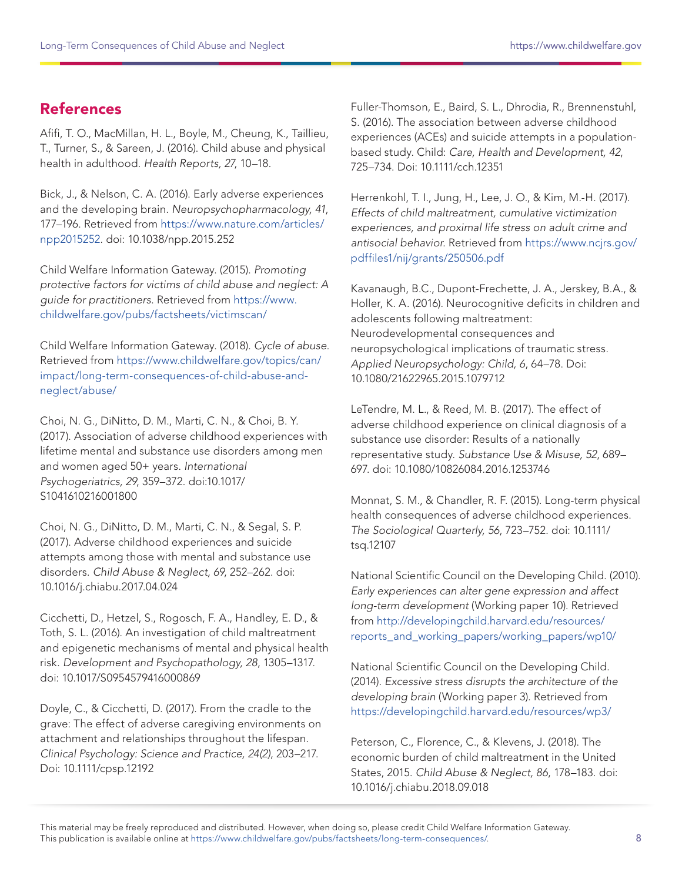# <span id="page-7-0"></span>References

Afifi, T. O., MacMillan, H. L., Boyle, M., Cheung, K., Taillieu, T., Turner, S., & Sareen, J. (2016). Child abuse and physical health in adulthood. Health Reports, 27, 10–18.

Bick, J., & Nelson, C. A. (2016). Early adverse experiences and the developing brain. Neuropsychopharmacology, 41, 177–196. Retrieved from [https://www.nature.com/articles/](https://www.nature.com/articles/npp2015252) [npp2015252.](https://www.nature.com/articles/npp2015252) doi: 10.1038/npp.2015.252

Child Welfare Information Gateway. (2015). Promoting protective factors for victims of child abuse and neglect: A guide for practitioners. Retrieved from [https://www.](https://www.childwelfare.gov/pubs/factsheets/victimscan/) [childwelfare.gov/pubs/factsheets/victimscan/](https://www.childwelfare.gov/pubs/factsheets/victimscan/)

Child Welfare Information Gateway. (2018). Cycle of abuse. Retrieved from [https://www.childwelfare.gov/topics/can/](https://www.childwelfare.gov/topics/can/impact/long-term-consequences-of-child-abuse-and-neglect/abuse/) [impact/long-term-consequences-of-child-abuse-and](https://www.childwelfare.gov/topics/can/impact/long-term-consequences-of-child-abuse-and-neglect/abuse/)[neglect/abuse/](https://www.childwelfare.gov/topics/can/impact/long-term-consequences-of-child-abuse-and-neglect/abuse/)

Choi, N. G., DiNitto, D. M., Marti, C. N., & Choi, B. Y. (2017). Association of adverse childhood experiences with lifetime mental and substance use disorders among men and women aged 50+ years. International Psychogeriatrics, 29, 359–372. doi:10.1017/ S1041610216001800

Choi, N. G., DiNitto, D. M., Marti, C. N., & Segal, S. P. (2017). Adverse childhood experiences and suicide attempts among those with mental and substance use disorders. Child Abuse & Neglect, 69, 252–262. doi: 10.1016/j.chiabu.2017.04.024

Cicchetti, D., Hetzel, S., Rogosch, F. A., Handley, E. D., & Toth, S. L. (2016). An investigation of child maltreatment and epigenetic mechanisms of mental and physical health risk. Development and Psychopathology, 28, 1305–1317. doi: 10.1017/S0954579416000869

Doyle, C., & Cicchetti, D. (2017). From the cradle to the grave: The effect of adverse caregiving environments on attachment and relationships throughout the lifespan. Clinical Psychology: Science and Practice, 24(2), 203–217. Doi: 10.1111/cpsp.12192

Fuller-Thomson, E., Baird, S. L., Dhrodia, R., Brennenstuhl, S. (2016). The association between adverse childhood experiences (ACEs) and suicide attempts in a populationbased study. Child: Care, Health and Development, 42, 725–734. Doi: 10.1111/cch.12351

Herrenkohl, T. I., Jung, H., Lee, J. O., & Kim, M.-H. (2017). Effects of child maltreatment, cumulative victimization experiences, and proximal life stress on adult crime and antisocial behavior. Retrieved from [https://www.ncjrs.gov/](https://www.ncjrs.gov/pdffiles1/nij/grants/250506.pdf) [pdffiles1/nij/grants/250506.pdf](https://www.ncjrs.gov/pdffiles1/nij/grants/250506.pdf)

Kavanaugh, B.C., Dupont-Frechette, J. A., Jerskey, B.A., & Holler, K. A. (2016). Neurocognitive deficits in children and adolescents following maltreatment: Neurodevelopmental consequences and neuropsychological implications of traumatic stress. Applied Neuropsychology: Child, 6, 64–78. Doi: 10.1080/21622965.2015.1079712

LeTendre, M. L., & Reed, M. B. (2017). The effect of adverse childhood experience on clinical diagnosis of a substance use disorder: Results of a nationally representative study. Substance Use & Misuse, 52, 689– 697. doi: 10.1080/10826084.2016.1253746

Monnat, S. M., & Chandler, R. F. (2015). Long-term physical health consequences of adverse childhood experiences. The Sociological Quarterly, 56, 723–752. doi: 10.1111/ tsq.12107

National Scientific Council on the Developing Child. (2010). Early experiences can alter gene expression and affect long-term development (Working paper 10). Retrieved from [http://developingchild.harvard.edu/resources/](http://developingchild.harvard.edu/resources/reports_and_working_papers/working_papers/wp10/) [reports\\_and\\_working\\_papers/working\\_papers/wp10/](http://developingchild.harvard.edu/resources/reports_and_working_papers/working_papers/wp10/)

National Scientific Council on the Developing Child. (2014). Excessive stress disrupts the architecture of the developing brain (Working paper 3). Retrieved from <https://developingchild.harvard.edu/resources/wp3/>

Peterson, C., Florence, C., & Klevens, J. (2018). The economic burden of child maltreatment in the United States, 2015. Child Abuse & Neglect, 86, 178–183. doi: 10.1016/j.chiabu.2018.09.018